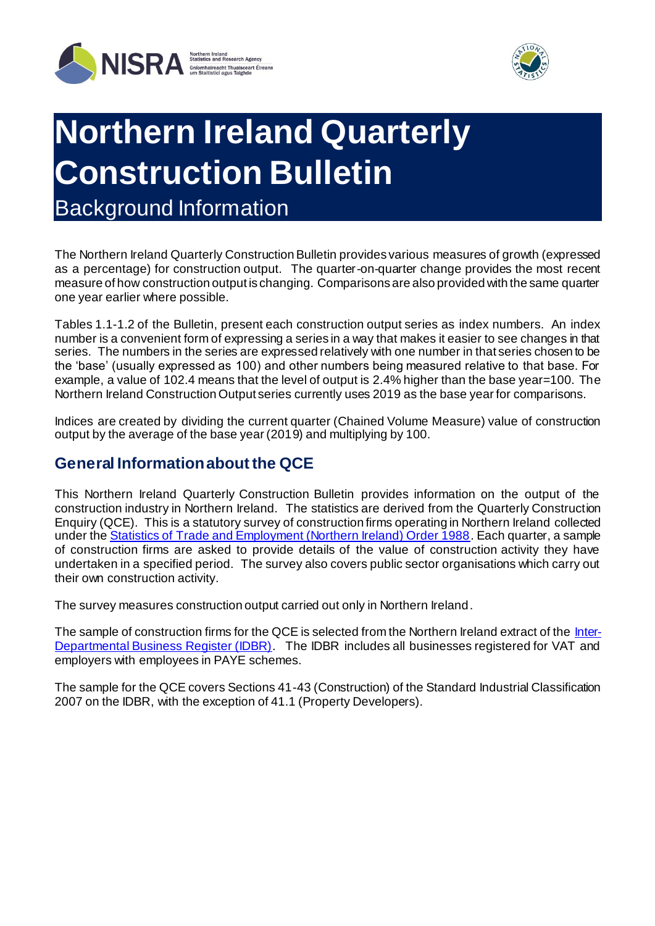



# **Northern Ireland Quarterly Construction Bulletin**

Background Information

The Northern Ireland Quarterly Construction Bulletin provides various measures of growth (expressed as a percentage) for construction output. The quarter-on-quarter change provides the most recent measure of how construction output is changing. Comparisons are also provided with the same quarter one year earlier where possible.

Tables 1.1-1.2 of the Bulletin, present each construction output series as index numbers. An index number is a convenient form of expressing a series in a way that makes it easier to see changes in that series. The numbers in the series are expressed relatively with one number in that series chosen to be the 'base' (usually expressed as 100) and other numbers being measured relative to that base. For example, a value of 102.4 means that the level of output is 2.4% higher than the base year=100. The Northern Ireland Construction Output series currently uses 2019 as the base year for comparisons.

Indices are created by dividing the current quarter (Chained Volume Measure) value of construction output by the average of the base year (2019) and multiplying by 100.

#### **General Information about the QCE**

This Northern Ireland Quarterly Construction Bulletin provides information on the output of the construction industry in Northern Ireland. The statistics are derived from the Quarterly Construction Enquiry (QCE). This is a statutory survey of construction firms operating in Northern Ireland collected under the [Statistics of Trade and Employment \(Northern Ireland\) Order 1988](http://www.legislation.gov.uk/nisi/1988/595/contents). Each quarter, a sample of construction firms are asked to provide details of the value of construction activity they have undertaken in a specified period. The survey also covers public sector organisations which carry out their own construction activity.

The survey measures construction output carried out only in Northern Ireland.

The sample of construction firms for the QCE is selected from the Northern Ireland extract of th[e Inter-](https://www.nisra.gov.uk/statistics/business-statistics/inter-departmental-business-register)[Departmental Business Register \(IDBR\).](https://www.nisra.gov.uk/statistics/business-statistics/inter-departmental-business-register) The IDBR includes all businesses registered for VAT and employers with employees in PAYE schemes.

The sample for the QCE covers Sections 41-43 (Construction) of the Standard Industrial Classification 2007 on the IDBR, with the exception of 41.1 (Property Developers).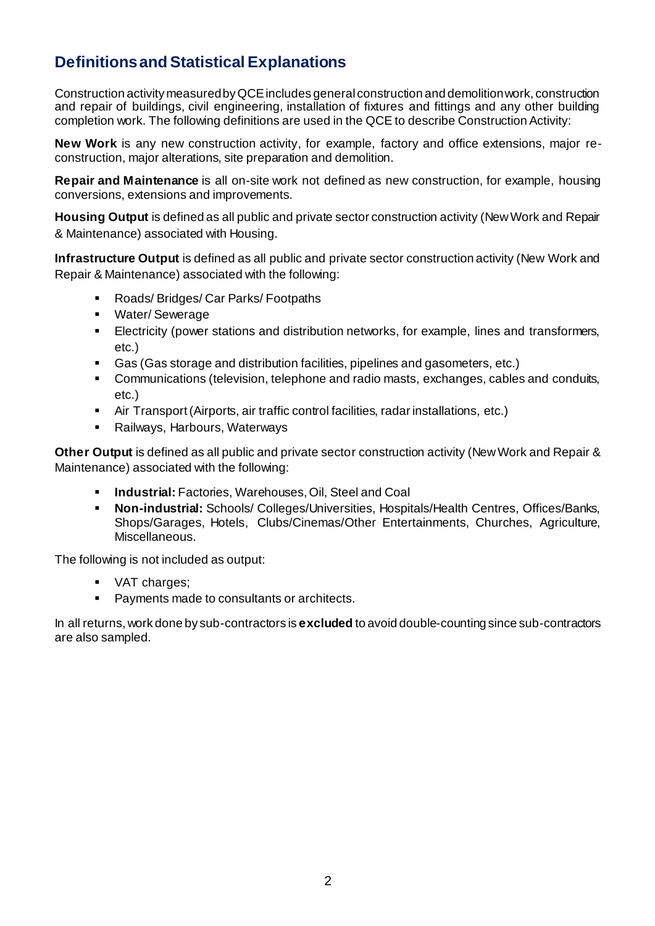# **Definitions and Statistical Explanations**

Construction activity measured by QCE includes general construction and demolition work, construction and repair of buildings, civil engineering, installation of fixtures and fittings and any other building completion work. The following definitions are used in the QCE to describe Construction Activity:

**New Work** is any new construction activity, for example, factory and office extensions, major reconstruction, major alterations, site preparation and demolition.

**Repair and Maintenance** is all on-site work not defined as new construction, for example, housing conversions, extensions and improvements.

**Housing Output** is defined as all public and private sector construction activity (New Work and Repair & Maintenance) associated with Housing.

**Infrastructure Output** is defined as all public and private sector construction activity (New Work and Repair & Maintenance) associated with the following:

- Roads/ Bridges/ Car Parks/ Footpaths
- Water/ Sewerage
- Electricity (power stations and distribution networks, for example, lines and transformers, etc.)
- Gas (Gas storage and distribution facilities, pipelines and gasometers, etc.)
- Communications (television, telephone and radio masts, exchanges, cables and conduits, etc.)
- Air Transport (Airports, air traffic control facilities, radar installations, etc.)
- Railways, Harbours, Waterways

**Other Output** is defined as all public and private sector construction activity (New Work and Repair & Maintenance) associated with the following:

- **Industrial:** Factories, Warehouses, Oil, Steel and Coal
- **Non-industrial:** Schools/ Colleges/Universities, Hospitals/Health Centres, Offices/Banks, Shops/Garages, Hotels, Clubs/Cinemas/Other Entertainments, Churches, Agriculture, Miscellaneous.

The following is not included as output:

- VAT charges;
- Payments made to consultants or architects.

In all returns, work done by sub-contractors is **excluded** to avoid double-counting since sub-contractors are also sampled.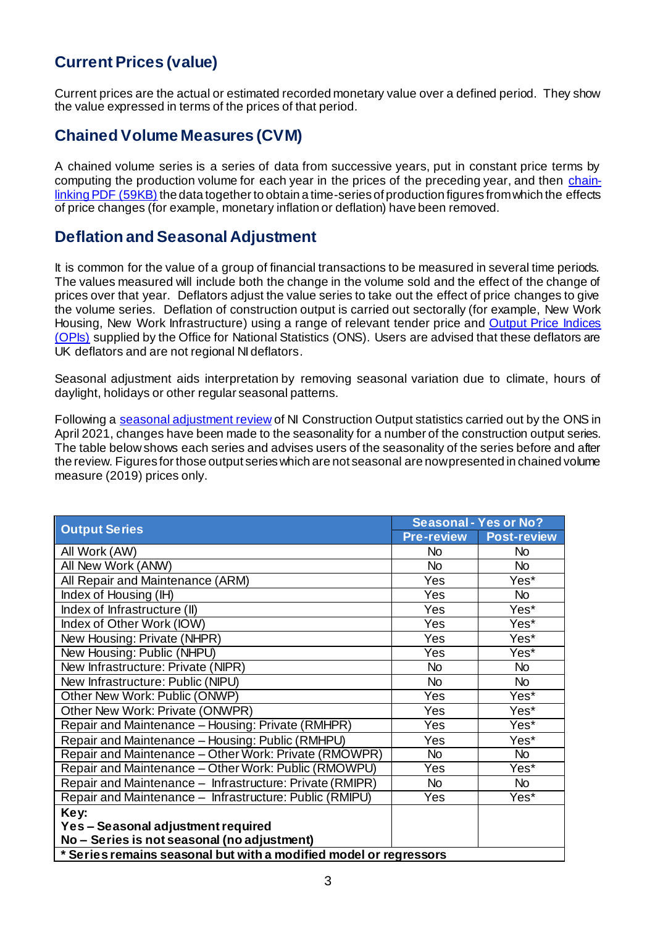# **Current Prices (value)**

Current prices are the actual or estimated recorded monetary value over a defined period. They show the value expressed in terms of the prices of that period.

#### **Chained Volume Measures (CVM)**

A chained volume series is a series of data from successive years, put in constant price terms by computing the production volume for each year in the prices of the preceding year, and then [chain](http://www.ons.gov.uk/ons/rel/elmr/economic-trends--discontinued-/no--630--may-2006/methodological-note--annual-chain-linking.pdf)[linking PDF \(59KB\)](http://www.ons.gov.uk/ons/rel/elmr/economic-trends--discontinued-/no--630--may-2006/methodological-note--annual-chain-linking.pdf) the data together to obtain a time-series of production figures from which the effects of price changes (for example, monetary inflation or deflation) have been removed.

#### **Deflation and Seasonal Adjustment**

It is common for the value of a group of financial transactions to be measured in several time periods. The values measured will include both the change in the volume sold and the effect of the change of prices over that year. Deflators adjust the value series to take out the effect of price changes to give the volume series. Deflation of construction output is carried out sectorally (for example, New Work Housing, New Work Infrastructure) using a range of relevant tender price and [Output Price Indices](https://www.ons.gov.uk/businessindustryandtrade/constructionindustry/datasets/interimconstructionoutputpriceindices)  [\(OPIs\)](https://www.ons.gov.uk/businessindustryandtrade/constructionindustry/datasets/interimconstructionoutputpriceindices) supplied by the Office for National Statistics (ONS). Users are advised that these deflators are UK deflators and are not regional NI deflators.

Seasonal adjustment aids interpretation by removing seasonal variation due to climate, hours of daylight, holidays or other regular seasonal patterns.

Following a [seasonal adjustment review](https://www.nisra.gov.uk/publications/construction-output-statistics-methodology) of NI Construction Output statistics carried out by the ONS in April 2021, changes have been made to the seasonality for a number of the construction output series. The table below shows each series and advises users of the seasonality of the series before and after the review. Figures for those output series which are not seasonal are now presented in chained volume measure (2019) prices only.

| <b>Output Series</b>                                              | <b>Seasonal - Yes or No?</b> |                    |  |
|-------------------------------------------------------------------|------------------------------|--------------------|--|
|                                                                   | <b>Pre-review</b>            | <b>Post-review</b> |  |
| All Work (AW)                                                     | <b>No</b>                    | <b>No</b>          |  |
| All New Work (ANW)                                                | <b>No</b>                    | <b>No</b>          |  |
| All Repair and Maintenance (ARM)                                  | Yes                          | Yes*               |  |
| Index of Housing (IH)                                             | Yes                          | <b>No</b>          |  |
| Index of Infrastructure (II)                                      | Yes                          | Yes*               |  |
| Index of Other Work (IOW)                                         | Yes                          | $Yes*$             |  |
| New Housing: Private (NHPR)                                       | Yes                          | Yes*               |  |
| New Housing: Public (NHPU)                                        | Yes                          | Yes*               |  |
| New Infrastructure: Private (NIPR)                                | <b>No</b>                    | <b>No</b>          |  |
| New Infrastructure: Public (NIPU)                                 | <b>No</b>                    | <b>No</b>          |  |
| Other New Work: Public (ONWP)                                     | Yes                          | $Yes*$             |  |
| Other New Work: Private (ONWPR)                                   | Yes                          | Yes*               |  |
| Repair and Maintenance - Housing: Private (RMHPR)                 | Yes                          | Yes*               |  |
| Repair and Maintenance - Housing: Public (RMHPU)                  | Yes                          | Yes*               |  |
| Repair and Maintenance - Other Work: Private (RMOWPR)             | <b>No</b>                    | <b>No</b>          |  |
| Repair and Maintenance - Other Work: Public (RMOWPU)              | Yes                          | Yes*               |  |
| Repair and Maintenance - Infrastructure: Private (RMIPR)          | <b>No</b>                    | <b>No</b>          |  |
| Repair and Maintenance - Infrastructure: Public (RMIPU)           | Yes                          | Yes*               |  |
| Key:                                                              |                              |                    |  |
| Yes – Seasonal adjustment required                                |                              |                    |  |
| No - Series is not seasonal (no adjustment)                       |                              |                    |  |
| * Series remains seasonal but with a modified model or regressors |                              |                    |  |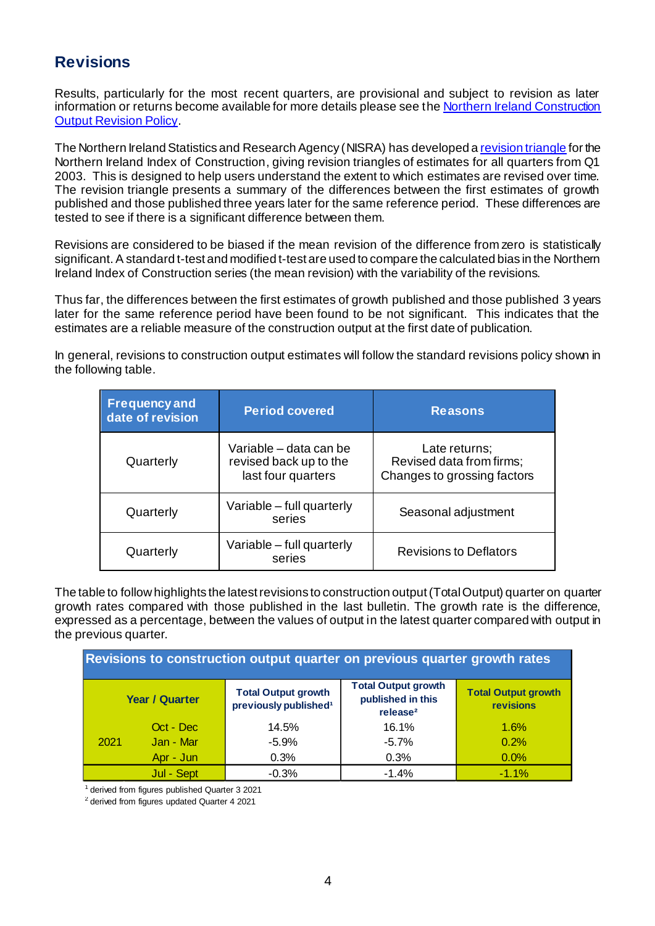## **Revisions**

Results, particularly for the most recent quarters, are provisional and subject to revision as later information or returns become available for more details please see th[e Northern Ireland Construction](https://www.nisra.gov.uk/publications/construction-output-statistics-methodology)  [Output Revision Policy.](https://www.nisra.gov.uk/publications/construction-output-statistics-methodology)

The Northern Ireland Statistics and Research Agency (NISRA) has developed [a revision triangle](https://www.nisra.gov.uk/publications/construction-output-statistics-methodology) for the Northern Ireland Index of Construction, giving revision triangles of estimates for all quarters from Q1 2003. This is designed to help users understand the extent to which estimates are revised over time. The revision triangle presents a summary of the differences between the first estimates of growth published and those published three years later for the same reference period. These differences are tested to see if there is a significant difference between them.

Revisions are considered to be biased if the mean revision of the difference from zero is statistically significant. A standard t-test and modified t-test are used to compare the calculated bias in the Northern Ireland Index of Construction series (the mean revision) with the variability of the revisions.

Thus far, the differences between the first estimates of growth published and those published 3 years later for the same reference period have been found to be not significant. This indicates that the estimates are a reliable measure of the construction output at the first date of publication.

In general, revisions to construction output estimates will follow the standard revisions policy shown in the following table.

| <b>Frequency and</b><br>date of revision | <b>Period covered</b>                                                  | <b>Reasons</b>                                                           |
|------------------------------------------|------------------------------------------------------------------------|--------------------------------------------------------------------------|
| Quarterly                                | Variable - data can be<br>revised back up to the<br>last four quarters | Late returns;<br>Revised data from firms;<br>Changes to grossing factors |
| Quarterly                                | Variable - full quarterly<br>series                                    | Seasonal adjustment                                                      |
| Quarterly                                | Variable - full quarterly<br>series                                    | <b>Revisions to Deflators</b>                                            |

The table to follow highlights the latest revisions to construction output (Total Output) quarter on quarter growth rates compared with those published in the last bulletin. The growth rate is the difference, expressed as a percentage, between the values of output in the latest quarter compared with output in the previous quarter.

| Revisions to construction output quarter on previous quarter growth rates |                       |                                                                 |                                                                         |                                                |
|---------------------------------------------------------------------------|-----------------------|-----------------------------------------------------------------|-------------------------------------------------------------------------|------------------------------------------------|
|                                                                           | <b>Year / Quarter</b> | <b>Total Output growth</b><br>previously published <sup>1</sup> | <b>Total Output growth</b><br>published in this<br>release <sup>2</sup> | <b>Total Output growth</b><br><b>revisions</b> |
|                                                                           | Oct - Dec             | 14.5%                                                           | 16.1%                                                                   | 1.6%                                           |
| 2021                                                                      | Jan - Mar             | $-5.9%$                                                         | $-5.7%$                                                                 | 0.2%                                           |
|                                                                           | Apr - Jun             | 0.3%                                                            | 0.3%                                                                    | 0.0%                                           |
|                                                                           | Jul - Sept            | $-0.3%$                                                         | $-1.4%$                                                                 | $-1.1%$                                        |

<sup>1</sup> derived from figures published Quarter 3 2021

 $2$  derived from figures updated Quarter 4 2021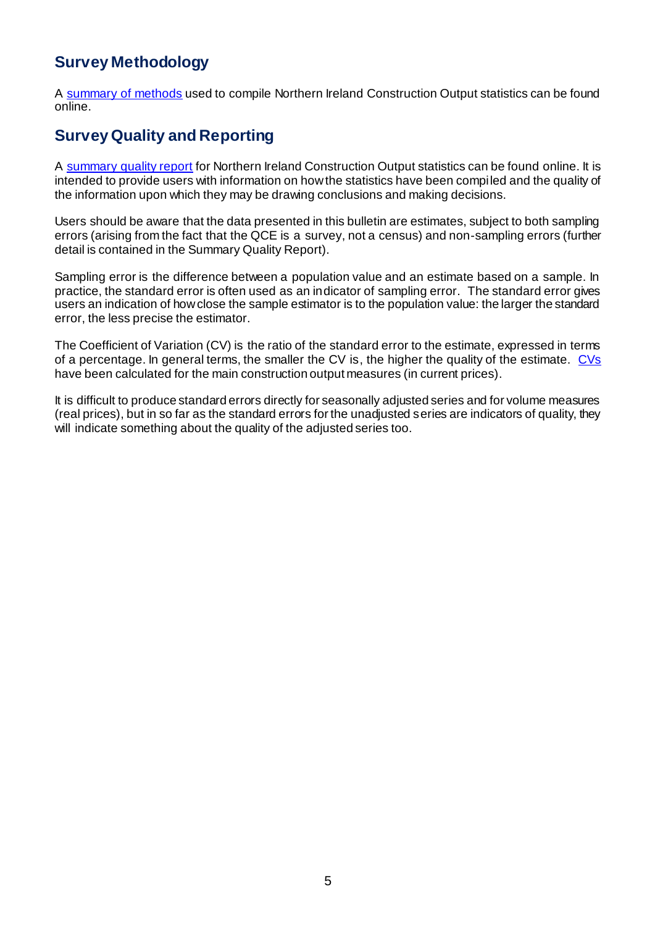# **Survey Methodology**

A [summary of methods](https://www.nisra.gov.uk/publications/construction-output-statistics-methodology) used to compile Northern Ireland Construction Output statistics can be found online.

#### **Survey Quality and Reporting**

A [summary quality report](https://www.nisra.gov.uk/publications/construction-output-statistics-methodology) for Northern Ireland Construction Output statistics can be found online. It is intended to provide users with information on how the statistics have been compiled and the quality of the information upon which they may be drawing conclusions and making decisions.

Users should be aware that the data presented in this bulletin are estimates, subject to both sampling errors (arising from the fact that the QCE is a survey, not a census) and non-sampling errors (further detail is contained in the Summary Quality Report).

Sampling error is the difference between a population value and an estimate based on a sample. In practice, the standard error is often used as an indicator of sampling error. The standard error gives users an indication of how close the sample estimator is to the population value: the larger the standard error, the less precise the estimator.

The Coefficient of Variation (CV) is the ratio of the standard error to the estimate, expressed in terms of a percentage. In general terms, the smaller the CV is, the higher the quality of the estimate. [CVs](https://www.nisra.gov.uk/publications/construction-output-statistics-methodology) have been calculated for the main construction output measures (in current prices).

It is difficult to produce standard errors directly for seasonally adjusted series and for volume measures (real prices), but in so far as the standard errors for the unadjusted series are indicators of quality, they will indicate something about the quality of the adjusted series too.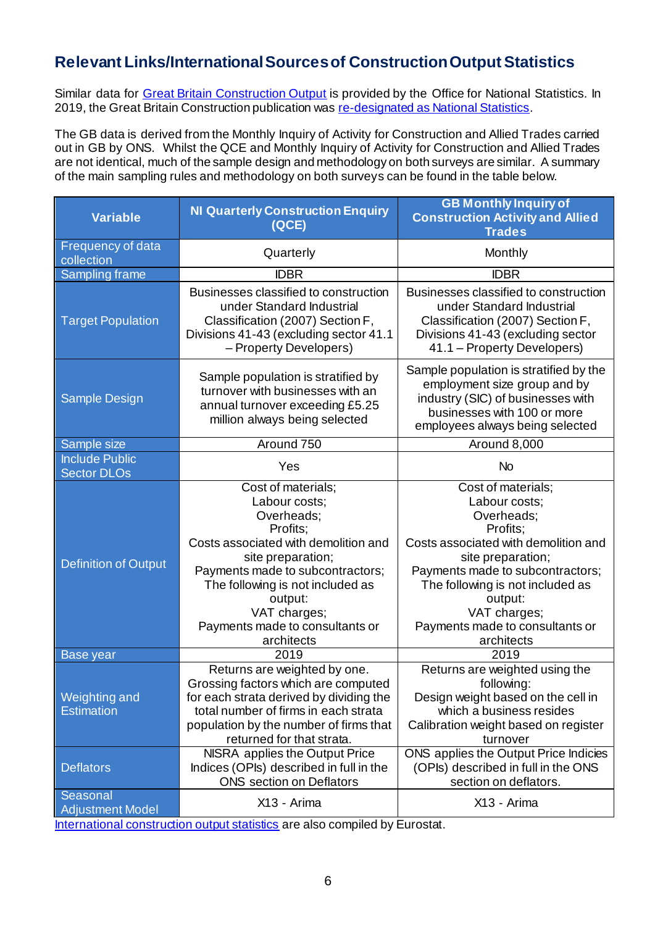# **Relevant Links/International Sources of Construction Output Statistics**

Similar data for [Great Britain Construction Output](http://www.ons.gov.uk/atoz?query=output+in+the+construction+industry) is provided by the Office for National Statistics. In 2019, the Great Britain Construction publication wa[s re-designated as National Statistics](https://www.statisticsauthority.gov.uk/correspondence/national-statistics-confirmation-ons-construction-statistics/#_ftn2).

The GB data is derived from the Monthly Inquiry of Activity for Construction and Allied Trades carried out in GB by ONS. Whilst the QCE and Monthly Inquiry of Activity for Construction and Allied Trades are not identical, much of the sample design and methodology on both surveys are similar. A summary of the main sampling rules and methodology on both surveys can be found in the table below.

| <b>Variable</b>                           | <b>NI Quarterly Construction Enquiry</b><br>(ACE)                                                                                                                                                                             | <b>GB Monthly Inquiry of</b><br><b>Construction Activity and Allied</b><br><b>Trades</b>                                                                                                                                      |  |
|-------------------------------------------|-------------------------------------------------------------------------------------------------------------------------------------------------------------------------------------------------------------------------------|-------------------------------------------------------------------------------------------------------------------------------------------------------------------------------------------------------------------------------|--|
| Frequency of data<br>collection           | Quarterly                                                                                                                                                                                                                     | Monthly                                                                                                                                                                                                                       |  |
| <b>Sampling frame</b>                     | <b>IDBR</b>                                                                                                                                                                                                                   | <b>IDBR</b>                                                                                                                                                                                                                   |  |
| <b>Target Population</b>                  | Businesses classified to construction<br>under Standard Industrial<br>Classification (2007) Section F,<br>Divisions 41-43 (excluding sector 41.1<br>- Property Developers)                                                    | Businesses classified to construction<br>under Standard Industrial<br>Classification (2007) Section F,<br>Divisions 41-43 (excluding sector<br>41.1 - Property Developers)                                                    |  |
| Sample Design                             | Sample population is stratified by<br>turnover with businesses with an<br>annual turnover exceeding £5.25<br>million always being selected                                                                                    | Sample population is stratified by the<br>employment size group and by<br>industry (SIC) of businesses with<br>businesses with 100 or more<br>employees always being selected                                                 |  |
| Sample size                               | Around 750                                                                                                                                                                                                                    | Around 8,000                                                                                                                                                                                                                  |  |
| <b>Include Public</b>                     | Yes                                                                                                                                                                                                                           | <b>No</b>                                                                                                                                                                                                                     |  |
| <b>Sector DLOs</b>                        |                                                                                                                                                                                                                               |                                                                                                                                                                                                                               |  |
| <b>Definition of Output</b>               | Cost of materials;<br>Labour costs;<br>Overheads;<br>Profits;<br>Costs associated with demolition and<br>site preparation;<br>Payments made to subcontractors;<br>The following is not included as<br>output:<br>VAT charges; | Cost of materials;<br>Labour costs:<br>Overheads;<br>Profits;<br>Costs associated with demolition and<br>site preparation;<br>Payments made to subcontractors;<br>The following is not included as<br>output:<br>VAT charges; |  |
|                                           | Payments made to consultants or<br>architects                                                                                                                                                                                 | Payments made to consultants or<br>architects                                                                                                                                                                                 |  |
| Base year                                 | 2019                                                                                                                                                                                                                          | 2019                                                                                                                                                                                                                          |  |
| <b>Weighting and</b><br><b>Estimation</b> | Returns are weighted by one.<br>Grossing factors which are computed<br>for each strata derived by dividing the<br>total number of firms in each strata<br>population by the number of firms that<br>returned for that strata. | Returns are weighted using the<br>following:<br>Design weight based on the cell in<br>which a business resides<br>Calibration weight based on register<br>turnover                                                            |  |
| <b>Deflators</b>                          | NISRA applies the Output Price<br>Indices (OPIs) described in full in the<br><b>ONS</b> section on Deflators                                                                                                                  | ONS applies the Output Price Indicies<br>(OPIs) described in full in the ONS<br>section on deflators.                                                                                                                         |  |
| Seasonal<br><b>Adjustment Model</b>       | X13 - Arima                                                                                                                                                                                                                   | X13 - Arima                                                                                                                                                                                                                   |  |
|                                           |                                                                                                                                                                                                                               |                                                                                                                                                                                                                               |  |

[International construction output statistics](http://ec.europa.eu/eurostat/web/short-term-business-statistics/data/main-tables) are also compiled by Eurostat.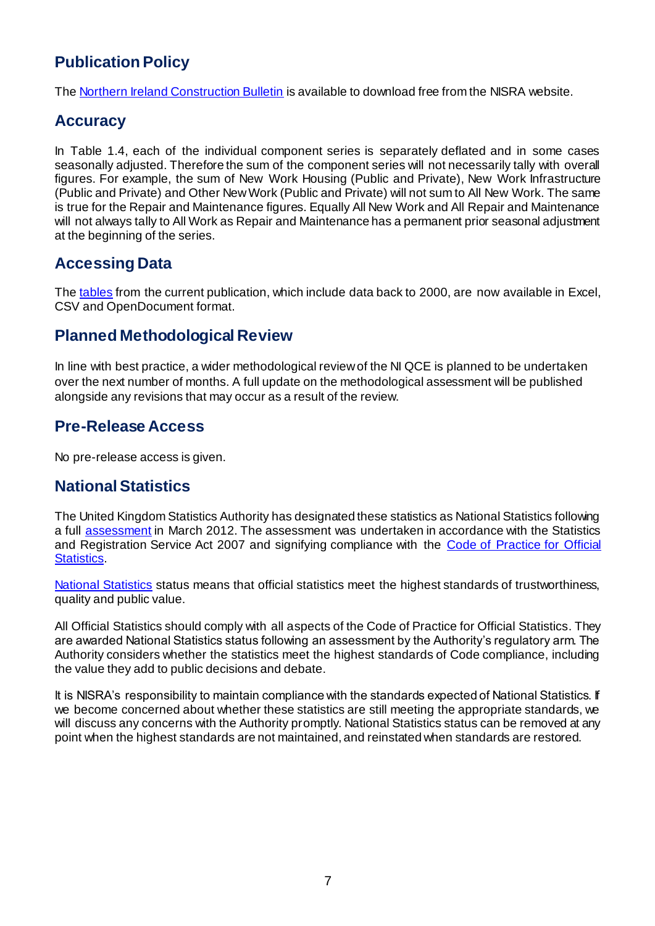# **Publication Policy**

Th[e Northern Ireland Construction Bulletin](https://www.nisra.gov.uk/statistics/economic-output-statistics/construction-output-statistics) is available to download free from the NISRA website.

#### **Accuracy**

In Table 1.4, each of the individual component series is separately deflated and in some cases seasonally adjusted. Therefore the sum of the component series will not necessarily tally with overall figures. For example, the sum of New Work Housing (Public and Private), New Work Infrastructure (Public and Private) and Other New Work (Public and Private) will not sum to All New Work. The same is true for the Repair and Maintenance figures. Equally All New Work and All Repair and Maintenance will not always tally to All Work as Repair and Maintenance has a permanent prior seasonal adjustment at the beginning of the series.

## **Accessing Data**

The [tables](https://www.nisra.gov.uk/statistics/economic-output-statistics/construction-output-statistics#toc-0) from the current publication, which include data back to 2000, are now available in Excel, CSV and OpenDocument format.

#### **Planned Methodological Review**

In line with best practice, a wider methodological review of the NI QCE is planned to be undertaken over the next number of months. A full update on the methodological assessment will be published alongside any revisions that may occur as a result of the review.

#### **Pre-Release Access**

No pre-release access is given.

## **National Statistics**

The United Kingdom Statistics Authority has designated these statistics as National Statistics following a full **assessment** in March 2012. The [assessment](https://www.statisticsauthority.gov.uk/publication/statistics-on-output-in-the-construction-industry-in-northern-ireland/) was undertaken in accordance with the Statistics and Registration Service Act 2007 and signifying compliance with the Code of Practice for Official [Statistics.](https://www.statisticsauthority.gov.uk/code-of-practice/the-code/)

[National Statistics](http://www.statisticsauthority.gov.uk/) status means that official statistics meet the highest standards of trustworthiness, quality and public value.

All Official Statistics should comply with all aspects of the Code of Practice for Official Statistics. They are awarded National Statistics status following an assessment by the Authority's regulatory arm. The Authority considers whether the statistics meet the highest standards of Code compliance, including the value they add to public decisions and debate.

It is NISRA's responsibility to maintain compliance with the standards expected of National Statistics. If we become concerned about whether these statistics are still meeting the appropriate standards, we will discuss any concerns with the Authority promptly. National Statistics status can be removed at any point when the highest standards are not maintained, and reinstated when standards are restored.